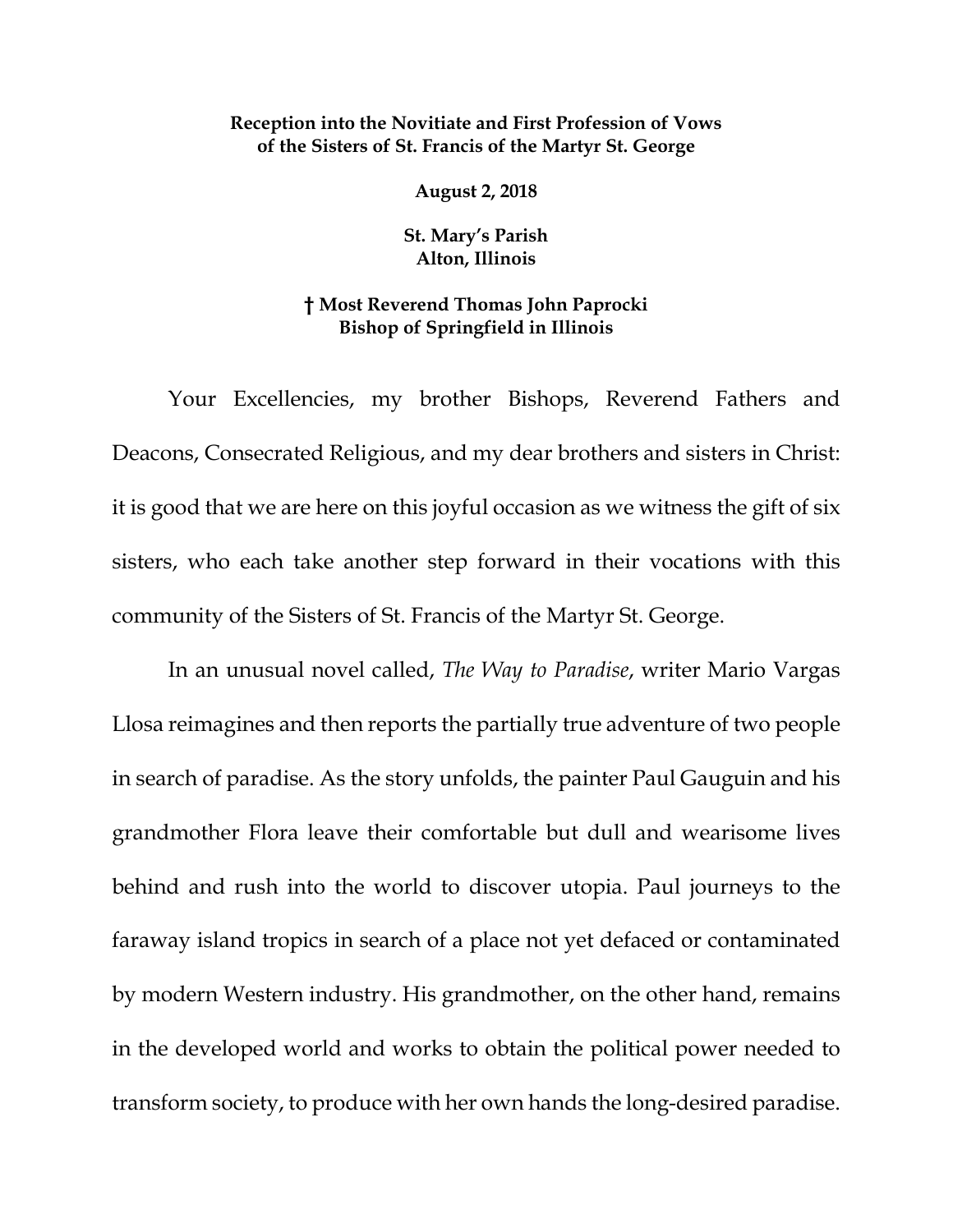## **Reception into the Novitiate and First Profession of Vows of the Sisters of St. Francis of the Martyr St. George**

**August 2, 2018**

**St. Mary's Parish Alton, Illinois**

## **† Most Reverend Thomas John Paprocki Bishop of Springfield in Illinois**

Your Excellencies, my brother Bishops, Reverend Fathers and Deacons, Consecrated Religious, and my dear brothers and sisters in Christ: it is good that we are here on this joyful occasion as we witness the gift of six sisters, who each take another step forward in their vocations with this community of the Sisters of St. Francis of the Martyr St. George.

In an unusual novel called, *The Way to Paradise*, writer Mario Vargas Llosa reimagines and then reports the partially true adventure of two people in search of paradise. As the story unfolds, the painter Paul Gauguin and his grandmother Flora leave their comfortable but dull and wearisome lives behind and rush into the world to discover utopia. Paul journeys to the faraway island tropics in search of a place not yet defaced or contaminated by modern Western industry. His grandmother, on the other hand, remains in the developed world and works to obtain the political power needed to transform society, to produce with her own hands the long-desired paradise.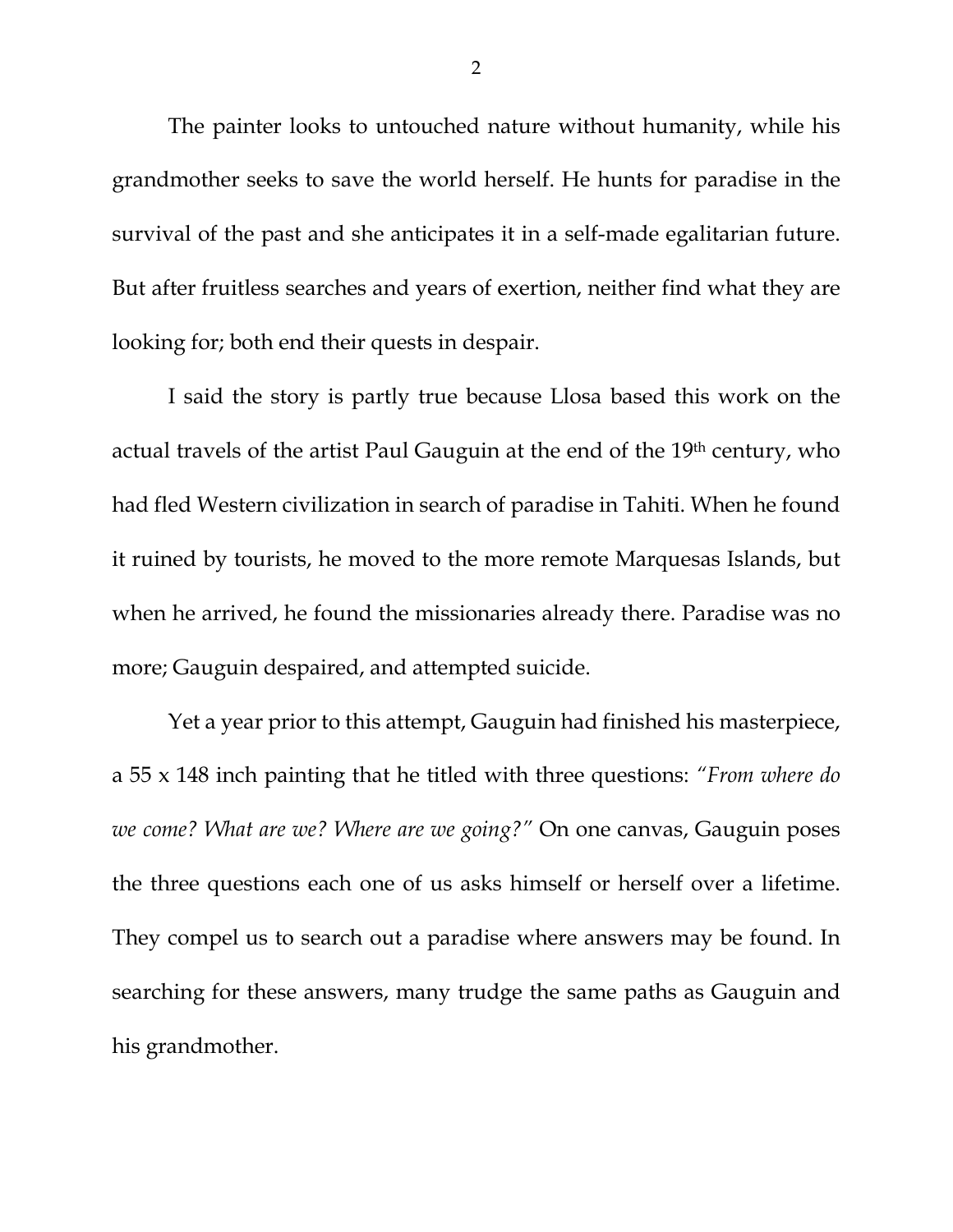The painter looks to untouched nature without humanity, while his grandmother seeks to save the world herself. He hunts for paradise in the survival of the past and she anticipates it in a self-made egalitarian future. But after fruitless searches and years of exertion, neither find what they are looking for; both end their quests in despair.

I said the story is partly true because Llosa based this work on the actual travels of the artist Paul Gauguin at the end of the 19<sup>th</sup> century, who had fled Western civilization in search of paradise in Tahiti. When he found it ruined by tourists, he moved to the more remote Marquesas Islands, but when he arrived, he found the missionaries already there. Paradise was no more; Gauguin despaired, and attempted suicide.

Yet a year prior to this attempt, Gauguin had finished his masterpiece, a 55 x 148 inch painting that he titled with three questions: *"From where do we come? What are we? Where are we going?"* On one canvas, Gauguin poses the three questions each one of us asks himself or herself over a lifetime. They compel us to search out a paradise where answers may be found. In searching for these answers, many trudge the same paths as Gauguin and his grandmother.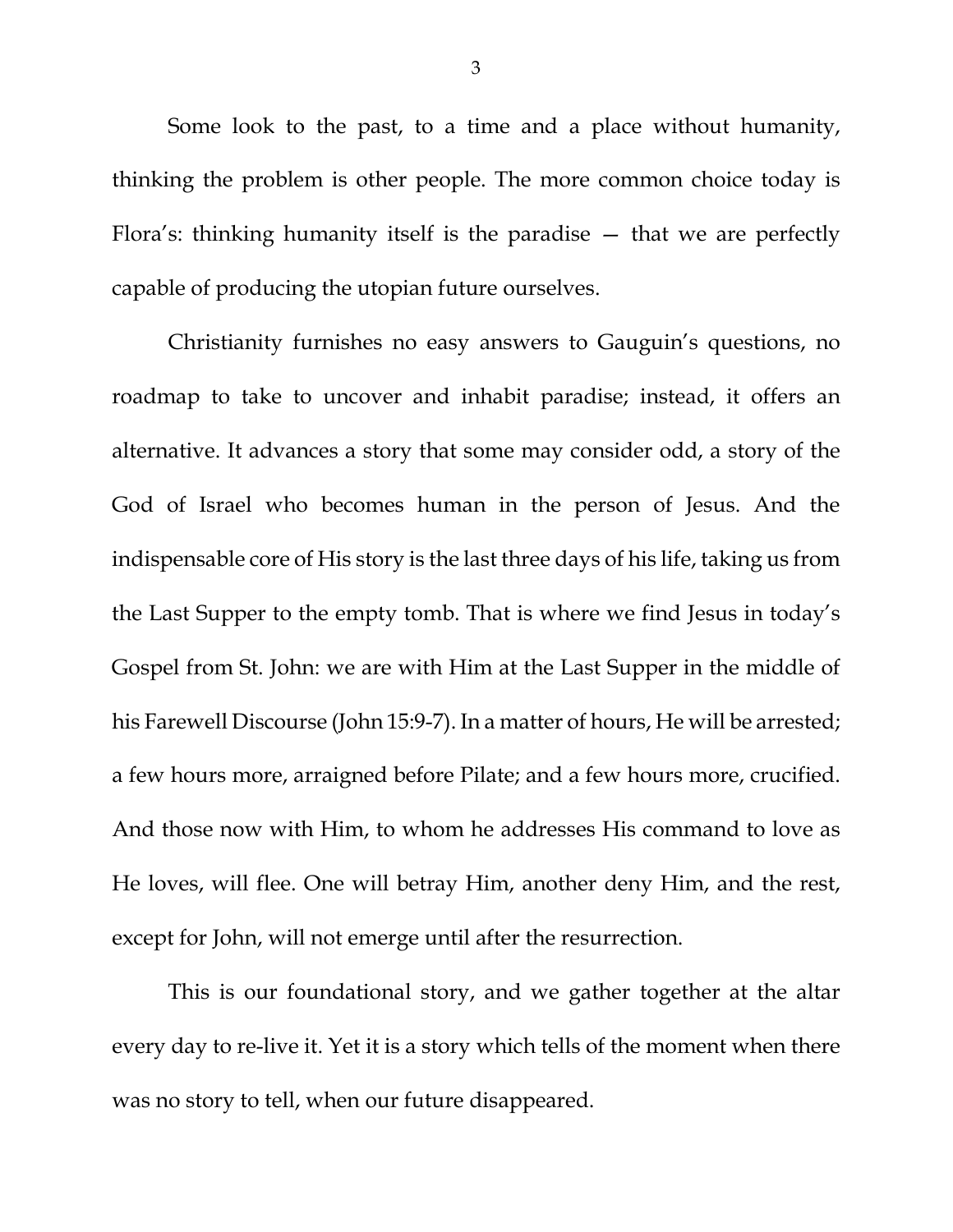Some look to the past, to a time and a place without humanity, thinking the problem is other people. The more common choice today is Flora's: thinking humanity itself is the paradise — that we are perfectly capable of producing the utopian future ourselves.

Christianity furnishes no easy answers to Gauguin's questions, no roadmap to take to uncover and inhabit paradise; instead, it offers an alternative. It advances a story that some may consider odd, a story of the God of Israel who becomes human in the person of Jesus. And the indispensable core of His story is the last three days of his life, taking us from the Last Supper to the empty tomb. That is where we find Jesus in today's Gospel from St. John: we are with Him at the Last Supper in the middle of his Farewell Discourse (John 15:9-7). In a matter of hours, He will be arrested; a few hours more, arraigned before Pilate; and a few hours more, crucified. And those now with Him, to whom he addresses His command to love as He loves, will flee. One will betray Him, another deny Him, and the rest, except for John, will not emerge until after the resurrection.

This is our foundational story, and we gather together at the altar every day to re-live it. Yet it is a story which tells of the moment when there was no story to tell, when our future disappeared.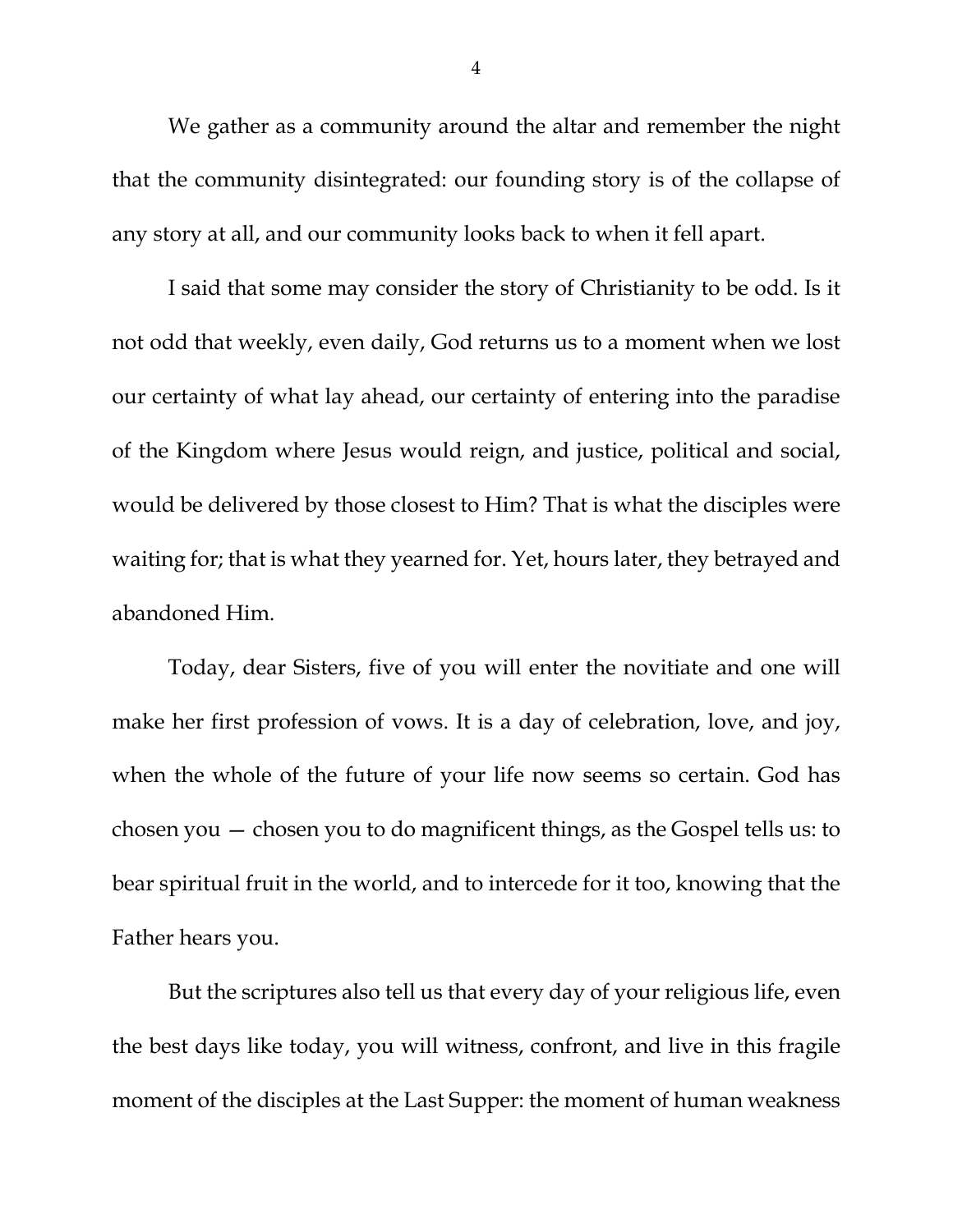We gather as a community around the altar and remember the night that the community disintegrated: our founding story is of the collapse of any story at all, and our community looks back to when it fell apart.

I said that some may consider the story of Christianity to be odd. Is it not odd that weekly, even daily, God returns us to a moment when we lost our certainty of what lay ahead, our certainty of entering into the paradise of the Kingdom where Jesus would reign, and justice, political and social, would be delivered by those closest to Him? That is what the disciples were waiting for; that is what they yearned for. Yet, hours later, they betrayed and abandoned Him.

Today, dear Sisters, five of you will enter the novitiate and one will make her first profession of vows. It is a day of celebration, love, and joy, when the whole of the future of your life now seems so certain. God has chosen you — chosen you to do magnificent things, as the Gospel tells us: to bear spiritual fruit in the world, and to intercede for it too, knowing that the Father hears you.

But the scriptures also tell us that every day of your religious life, even the best days like today, you will witness, confront, and live in this fragile moment of the disciples at the Last Supper: the moment of human weakness

4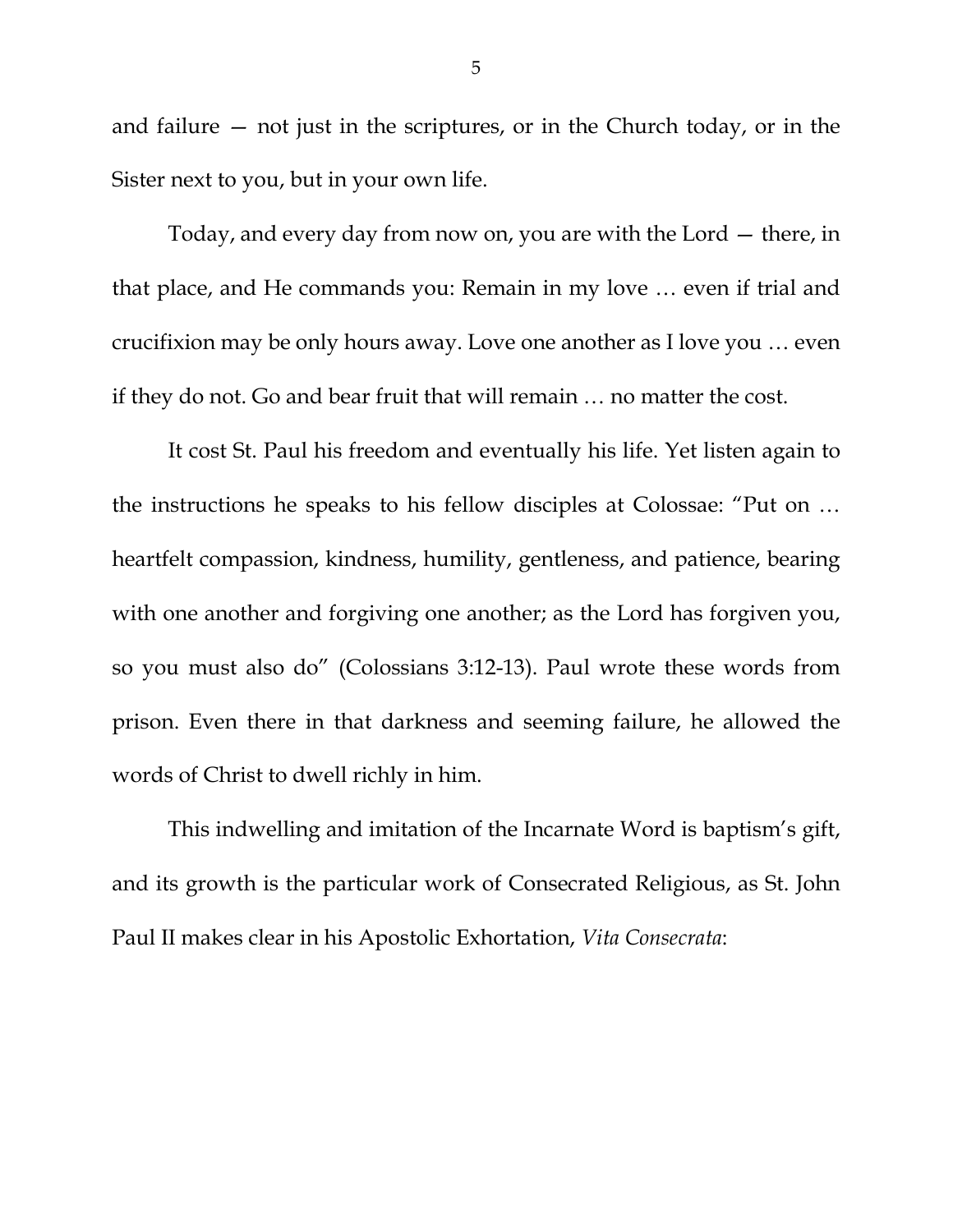and failure — not just in the scriptures, or in the Church today, or in the Sister next to you, but in your own life.

Today, and every day from now on, you are with the Lord — there, in that place, and He commands you: Remain in my love … even if trial and crucifixion may be only hours away. Love one another as I love you … even if they do not. Go and bear fruit that will remain … no matter the cost.

It cost St. Paul his freedom and eventually his life. Yet listen again to the instructions he speaks to his fellow disciples at Colossae: "Put on … heartfelt compassion, kindness, humility, gentleness, and patience, bearing with one another and forgiving one another; as the Lord has forgiven you, so you must also do" (Colossians 3:12-13). Paul wrote these words from prison. Even there in that darkness and seeming failure, he allowed the words of Christ to dwell richly in him.

This indwelling and imitation of the Incarnate Word is baptism's gift, and its growth is the particular work of Consecrated Religious, as St. John Paul II makes clear in his Apostolic Exhortation, *Vita Consecrata*: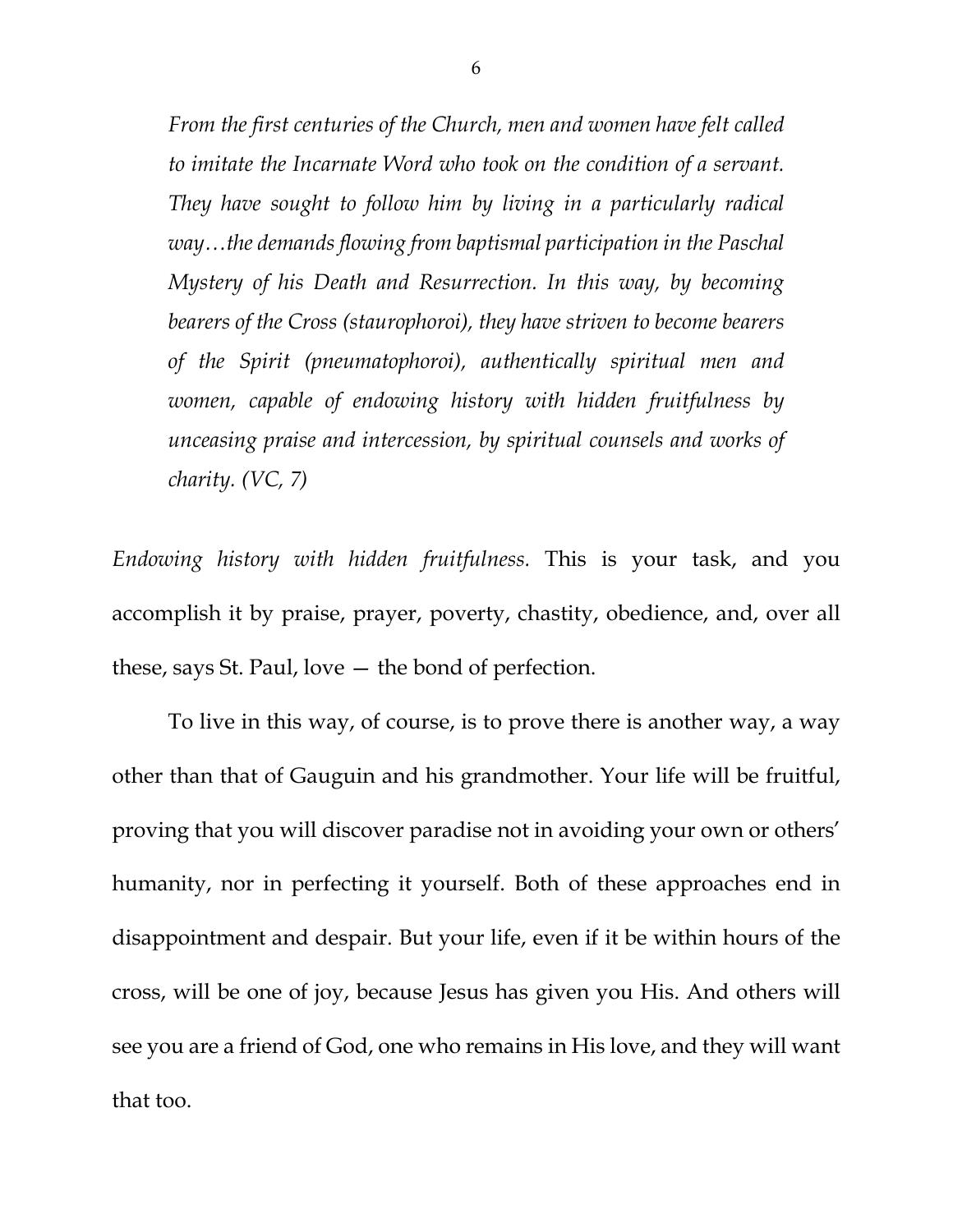*From the first centuries of the Church, men and women have felt called to imitate the Incarnate Word who took on the condition of a servant. They have sought to follow him by living in a particularly radical way…the demands flowing from baptismal participation in the Paschal Mystery of his Death and Resurrection. In this way, by becoming bearers of the Cross (staurophoroi), they have striven to become bearers of the Spirit (pneumatophoroi), authentically spiritual men and women, capable of endowing history with hidden fruitfulness by unceasing praise and intercession, by spiritual counsels and works of charity. (VC, 7)*

*Endowing history with hidden fruitfulness.* This is your task, and you accomplish it by praise, prayer, poverty, chastity, obedience, and, over all these, says St. Paul, love — the bond of perfection.

To live in this way, of course, is to prove there is another way, a way other than that of Gauguin and his grandmother. Your life will be fruitful, proving that you will discover paradise not in avoiding your own or others' humanity, nor in perfecting it yourself. Both of these approaches end in disappointment and despair. But your life, even if it be within hours of the cross, will be one of joy, because Jesus has given you His. And others will see you are a friend of God, one who remains in His love, and they will want that too.